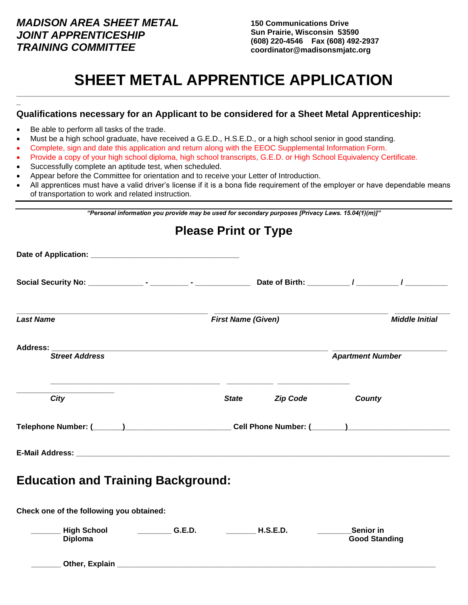### *MADISON AREA SHEET METAL JOINT APPRENTICESHIP TRAINING COMMITTEE*

**150 Communications Drive Sun Prairie, Wisconsin 53590 (608) 220-4546 Fax (608) 492-2937 coordinator@madisonsmjatc.org**

## **SHEET METAL APPRENTICE APPLICATION \_\_\_\_\_\_\_\_\_\_\_\_\_\_\_\_\_\_\_\_\_\_\_\_\_\_\_\_\_\_\_\_\_\_\_\_\_\_\_\_\_\_\_\_\_\_\_\_\_\_\_\_\_\_\_\_\_\_\_\_\_\_\_\_\_\_\_\_\_\_\_\_\_\_\_\_\_\_\_\_\_\_\_\_\_\_\_\_\_\_\_\_\_\_\_\_\_\_\_\_\_\_**

# **\_ Qualifications necessary for an Applicant to be considered for a Sheet Metal Apprenticeship:** Be able to perform all tasks of the trade. • Must be a high school graduate, have received a G.E.D., H.S.E.D., or a high school senior in good standing. • Complete, sign and date this application and return along with the EEOC Supplemental Information Form. • Provide a copy of your high school diploma, high school transcripts, G.E.D. or High School Equivalency Certificate. Successfully complete an aptitude test, when scheduled. • Appear before the Committee for orientation and to receive your Letter of Introduction. • All apprentices must have a valid driver's license if it is a bona fide requirement of the employer or have dependable means of transportation to work and related instruction. *"Personal information you provide may be used for secondary purposes [Privacy Laws. 15.04(1)(m)]"* **Please Print or Type Date of Application: \_\_\_\_\_\_\_\_\_\_\_\_\_\_\_\_\_\_\_\_\_\_\_\_\_\_\_\_\_\_\_\_\_\_\_ Social Security No: \_\_\_\_\_\_\_\_\_\_\_\_\_ - \_\_\_\_\_\_\_\_\_ - \_\_\_\_\_\_\_\_\_\_\_\_\_ Date of Birth: \_\_\_\_\_\_\_\_\_\_ / \_\_\_\_\_\_\_\_\_\_ / \_\_\_\_\_\_\_\_\_\_ \_\_\_\_\_\_\_\_\_\_\_\_\_\_\_\_\_\_\_\_\_\_\_\_\_\_\_\_\_\_\_\_\_\_\_\_\_\_\_\_\_\_\_\_\_ \_\_\_\_\_\_\_\_\_\_\_\_\_\_\_\_\_\_\_\_\_\_\_\_\_\_\_\_\_\_\_\_\_\_\_\_\_\_\_\_\_ \_\_\_\_\_\_\_\_\_\_\_\_\_** *Last Name First Name (Given) Middle Initial* **Address: \_\_\_\_\_\_\_\_\_\_\_\_\_\_\_\_\_\_\_\_\_\_\_\_\_\_\_\_\_\_\_\_\_\_\_\_\_\_\_\_\_\_\_\_\_\_\_\_\_\_\_\_\_\_\_\_\_\_\_\_\_\_\_\_\_ \_\_\_\_\_\_\_\_\_\_\_\_\_\_\_\_\_\_\_\_\_\_\_\_\_\_\_** *Street Address* Apartment Number  **\_\_\_\_\_\_\_\_\_\_\_\_\_\_\_\_\_\_\_\_\_\_\_\_\_\_\_\_\_\_\_\_\_\_\_\_\_\_\_\_ \_\_\_\_\_\_\_\_\_\_\_ \_\_\_\_\_\_\_\_\_\_\_\_\_\_\_\_\_ \_\_\_\_\_\_\_\_\_\_\_\_\_\_\_\_\_\_\_\_\_\_\_**  *City State Zip Code County* **Telephone Number: (\_\_\_\_\_\_\_)\_\_\_\_\_\_\_\_\_\_\_\_\_\_\_\_\_\_\_\_\_\_\_\_\_ Cell Phone Number: (\_\_\_\_\_\_\_\_)\_\_\_\_\_\_\_\_\_\_\_\_\_\_\_\_\_\_\_\_\_\_\_\_**  $\textsf{E}\text{-}\textsf{Mail}$  Address:  $\blacksquare$ **Education and Training Background: Check one of the following you obtained:**

| <b>High School</b><br><b>Diploma</b> | G.E.D. | <b>H.S.E.D.</b> | <b>Senior</b> in<br><b>Good Standing</b> |
|--------------------------------------|--------|-----------------|------------------------------------------|
| Other, Explain                       |        |                 |                                          |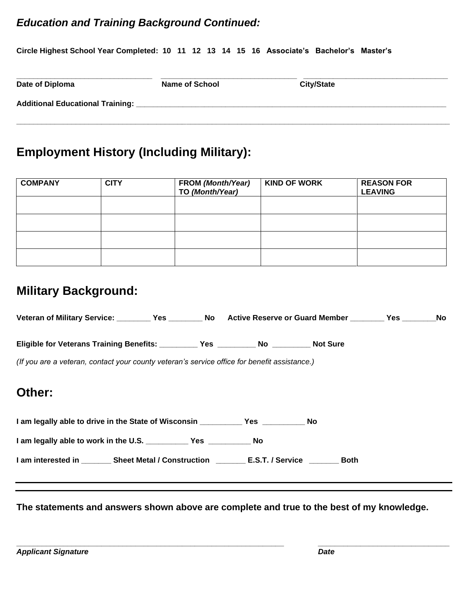## *Education and Training Background Continued:*

**Circle Highest School Year Completed: 10 11 12 13 14 15 16 Associate's Bachelor's Master's**

| Date of Diploma                         | <b>Name of School</b> | <b>City/State</b> |  |
|-----------------------------------------|-----------------------|-------------------|--|
| <b>Additional Educational Training:</b> |                       |                   |  |
|                                         |                       |                   |  |

# **Employment History (Including Military):**

| <b>COMPANY</b> | <b>CITY</b> | <b>FROM (Month/Year)</b><br>TO (Month/Year) | <b>KIND OF WORK</b> | <b>REASON FOR</b><br><b>LEAVING</b> |
|----------------|-------------|---------------------------------------------|---------------------|-------------------------------------|
|                |             |                                             |                     |                                     |
|                |             |                                             |                     |                                     |
|                |             |                                             |                     |                                     |
|                |             |                                             |                     |                                     |

# **Military Background:**

| Veteran of Military Service: __________Yes _________No Active Reserve or Guard Member ________Yes _______No |  |  |  |
|-------------------------------------------------------------------------------------------------------------|--|--|--|
|                                                                                                             |  |  |  |
| (If you are a veteran, contact your county veteran's service office for benefit assistance.)                |  |  |  |
| Other:                                                                                                      |  |  |  |
|                                                                                                             |  |  |  |
|                                                                                                             |  |  |  |
|                                                                                                             |  |  |  |

**The statements and answers shown above are complete and true to the best of my knowledge.**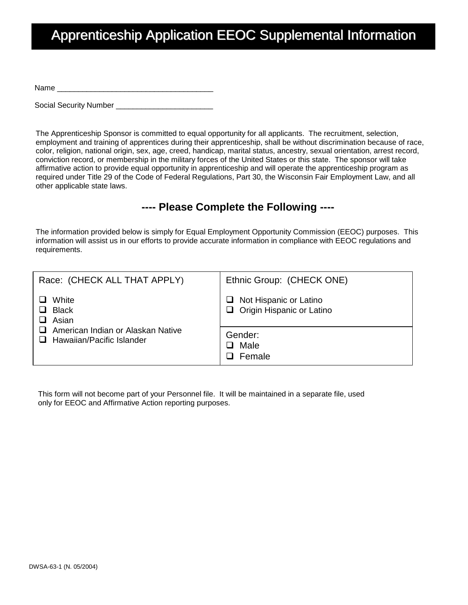# Apprenticeship Application EEOC Supplemental Information

Name \_\_\_\_\_\_\_\_\_\_\_\_\_\_\_\_\_\_\_\_\_\_\_\_\_\_\_\_\_\_\_\_\_\_\_\_\_

Social Security Number \_\_\_\_\_\_\_\_\_\_\_\_

The Apprenticeship Sponsor is committed to equal opportunity for all applicants. The recruitment, selection, employment and training of apprentices during their apprenticeship, shall be without discrimination because of race, color, religion, national origin, sex, age, creed, handicap, marital status, ancestry, sexual orientation, arrest record, conviction record, or membership in the military forces of the United States or this state. The sponsor will take affirmative action to provide equal opportunity in apprenticeship and will operate the apprenticeship program as required under Title 29 of the Code of Federal Regulations, Part 30, the Wisconsin Fair Employment Law, and all other applicable state laws.

### **---- Please Complete the Following ----**

The information provided below is simply for Equal Employment Opportunity Commission (EEOC) purposes. This information will assist us in our efforts to provide accurate information in compliance with EEOC regulations and requirements.

| Race: (CHECK ALL THAT APPLY)                                                                            | Ethnic Group: (CHECK ONE)                                         |  |
|---------------------------------------------------------------------------------------------------------|-------------------------------------------------------------------|--|
| White<br><b>Black</b><br>Asian<br>American Indian or Alaskan Native<br>$\Box$ Hawaiian/Pacific Islander | $\Box$ Not Hispanic or Latino<br>$\Box$ Origin Hispanic or Latino |  |
|                                                                                                         | Gender:<br>Male<br>l 1<br>Female<br>ı                             |  |

This form will not become part of your Personnel file. It will be maintained in a separate file, used only for EEOC and Affirmative Action reporting purposes.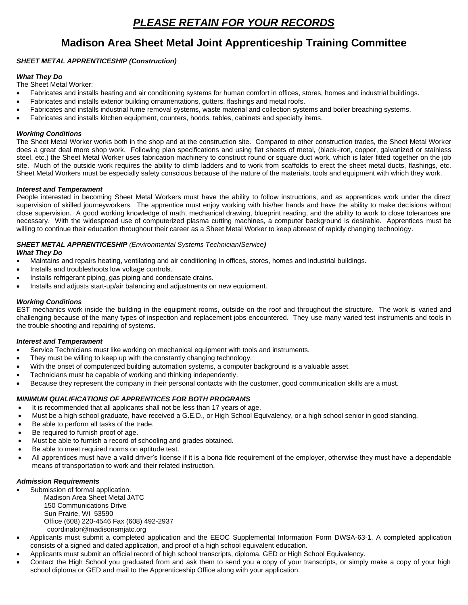### **Madison Area Sheet Metal Joint Apprenticeship Training Committee**

#### *SHEET METAL APPRENTICESHIP (Construction)*

#### *What They Do*

The Sheet Metal Worker:

- Fabricates and installs heating and air conditioning systems for human comfort in offices, stores, homes and industrial buildings.
- Fabricates and installs exterior building ornamentations, gutters, flashings and metal roofs.
- Fabricates and installs industrial fume removal systems, waste material and collection systems and boiler breaching systems.
- Fabricates and installs kitchen equipment, counters, hoods, tables, cabinets and specialty items.

#### *Working Conditions*

The Sheet Metal Worker works both in the shop and at the construction site. Compared to other construction trades, the Sheet Metal Worker does a great deal more shop work. Following plan specifications and using flat sheets of metal, (black-iron, copper, galvanized or stainless steel, etc.) the Sheet Metal Worker uses fabrication machinery to construct round or square duct work, which is later fitted together on the job site. Much of the outside work requires the ability to climb ladders and to work from scaffolds to erect the sheet metal ducts, flashings, etc. Sheet Metal Workers must be especially safety conscious because of the nature of the materials, tools and equipment with which they work.

#### *Interest and Temperament*

People interested in becoming Sheet Metal Workers must have the ability to follow instructions, and as apprentices work under the direct supervision of skilled journeyworkers. The apprentice must enjoy working with his/her hands and have the ability to make decisions without close supervision. A good working knowledge of math, mechanical drawing, blueprint reading, and the ability to work to close tolerances are necessary. With the widespread use of computerized plasma cutting machines, a computer background is desirable. Apprentices must be willing to continue their education throughout their career as a Sheet Metal Worker to keep abreast of rapidly changing technology.

#### *SHEET METAL APPRENTICESHIP (Environmental Systems Technician/Service)*

#### *What They Do*

- Maintains and repairs heating, ventilating and air conditioning in offices, stores, homes and industrial buildings.
- Installs and troubleshoots low voltage controls.
- Installs refrigerant piping, gas piping and condensate drains.
- Installs and adjusts start-up/air balancing and adjustments on new equipment.

#### *Working Conditions*

EST mechanics work inside the building in the equipment rooms, outside on the roof and throughout the structure. The work is varied and challenging because of the many types of inspection and replacement jobs encountered. They use many varied test instruments and tools in the trouble shooting and repairing of systems.

#### *Interest and Temperament*

- Service Technicians must like working on mechanical equipment with tools and instruments.
- They must be willing to keep up with the constantly changing technology.
- With the onset of computerized building automation systems, a computer background is a valuable asset.
- Technicians must be capable of working and thinking independently.
- Because they represent the company in their personal contacts with the customer, good communication skills are a must.

#### *MINIMUM QUALIFICATIONS OF APPRENTICES FOR BOTH PROGRAMS*

- It is recommended that all applicants shall not be less than 17 years of age.
- Must be a high school graduate, have received a G.E.D., or High School Equivalency, or a high school senior in good standing.
- Be able to perform all tasks of the trade.
- Be required to furnish proof of age.
- Must be able to furnish a record of schooling and grades obtained.
- Be able to meet required norms on aptitude test.
- All apprentices must have a valid driver's license if it is a bona fide requirement of the employer, otherwise they must have a dependable means of transportation to work and their related instruction.

#### *Admission Requirements*

- Submission of formal application. Madison Area Sheet Metal JATC 150 Communications Drive Sun Prairie, WI 53590 Office (608) 220-4546 Fax (608) 492-2937 coordinator@madisonsmjatc.org
- Applicants must submit a completed application and the EEOC Supplemental Information Form DWSA-63-1. A completed application consists of a signed and dated application, and proof of a high school equivalent education.
- Applicants must submit an official record of high school transcripts, diploma, GED or High School Equivalency.
- Contact the High School you graduated from and ask them to send you a copy of your transcripts, or simply make a copy of your high school diploma or GED and mail to the Apprenticeship Office along with your application.